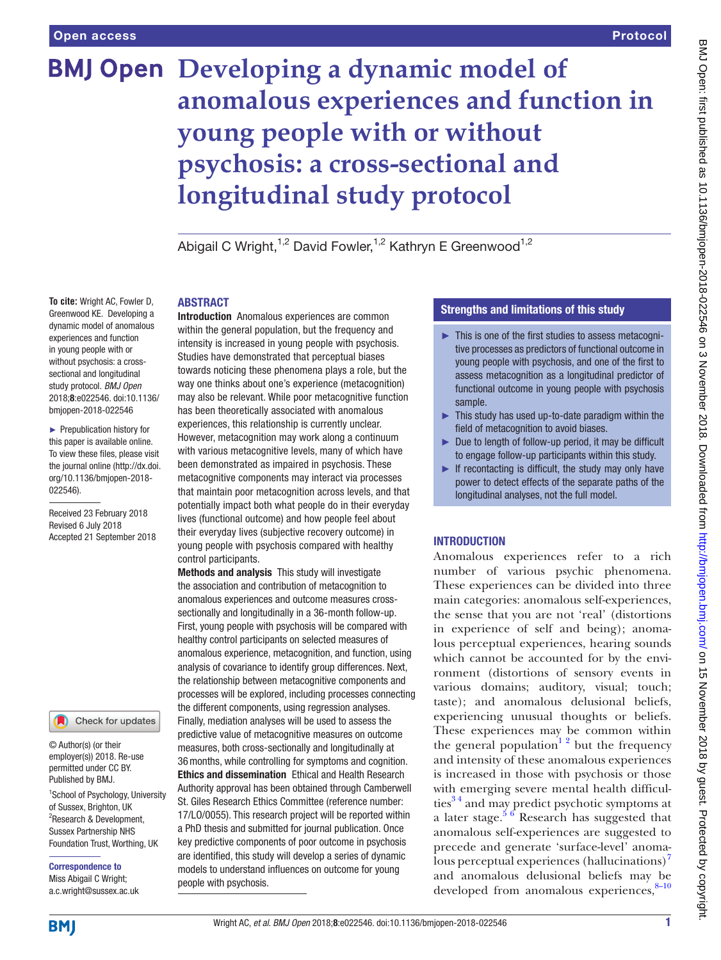# **BMJ Open** Developing a dynamic model of **anomalous experiences and function in young people with or without psychosis: a cross-sectional and longitudinal study protocol**

Abigail C Wright, <sup>1,2</sup> David Fowler, <sup>1,2</sup> Kathryn E Greenwood<sup>1,2</sup>

#### **ABSTRACT**

**To cite:** Wright AC, Fowler D, Greenwood KE. Developing a dynamic model of anomalous experiences and function in young people with or without psychosis: a crosssectional and longitudinal study protocol. *BMJ Open* 2018;8:e022546. doi:10.1136/ bmjopen-2018-022546

► Prepublication history for this paper is available online. To view these files, please visit the journal online [\(http://dx.doi.](http://dx.doi.org/10.1136/bmjopen-2018-022546) [org/10.1136/bmjopen-2018-](http://dx.doi.org/10.1136/bmjopen-2018-022546) [022546\)](http://dx.doi.org/10.1136/bmjopen-2018-022546).

Received 23 February 2018 Revised 6 July 2018 Accepted 21 September 2018



© Author(s) (or their employer(s)) 2018. Re-use permitted under CC BY. Published by BMJ.

<sup>1</sup>School of Psychology, University of Sussex, Brighton, UK <sup>2</sup>Research & Development, Sussex Partnership NHS Foundation Trust, Worthing, UK

Correspondence to Miss Abigail C Wright; a.c.wright@sussex.ac.uk Introduction Anomalous experiences are common within the general population, but the frequency and intensity is increased in young people with psychosis. Studies have demonstrated that perceptual biases towards noticing these phenomena plays a role, but the way one thinks about one's experience (metacognition) may also be relevant. While poor metacognitive function has been theoretically associated with anomalous experiences, this relationship is currently unclear. However, metacognition may work along a continuum with various metacognitive levels, many of which have been demonstrated as impaired in psychosis. These metacognitive components may interact via processes that maintain poor metacognition across levels, and that potentially impact both what people do in their everyday lives (functional outcome) and how people feel about their everyday lives (subjective recovery outcome) in young people with psychosis compared with healthy control participants.

Methods and analysis This study will investigate the association and contribution of metacognition to anomalous experiences and outcome measures crosssectionally and longitudinally in a 36-month follow-up. First, young people with psychosis will be compared with healthy control participants on selected measures of anomalous experience, metacognition, and function, using analysis of covariance to identify group differences. Next, the relationship between metacognitive components and processes will be explored, including processes connecting the different components, using regression analyses. Finally, mediation analyses will be used to assess the predictive value of metacognitive measures on outcome measures, both cross-sectionally and longitudinally at 36months, while controlling for symptoms and cognition. Ethics and dissemination Ethical and Health Research Authority approval has been obtained through Camberwell St. Giles Research Ethics Committee (reference number: 17/LO/0055). This research project will be reported within a PhD thesis and submitted for journal publication. Once key predictive components of poor outcome in psychosis are identified, this study will develop a series of dynamic models to understand influences on outcome for young people with psychosis.

### Strengths and limitations of this study

- ► This is one of the first studies to assess metacognitive processes as predictors of functional outcome in young people with psychosis, and one of the first to assess metacognition as a longitudinal predictor of functional outcome in young people with psychosis sample.
- ► This study has used up-to-date paradigm within the field of metacognition to avoid biases.
- ► Due to length of follow-up period, it may be difficult to engage follow-up participants within this study.
- ► If recontacting is difficult, the study may only have power to detect effects of the separate paths of the longitudinal analyses, not the full model.

# **INTRODUCTION**

Anomalous experiences refer to a rich number of various psychic phenomena. These experiences can be divided into three main categories: anomalous self-experiences, the sense that you are not 'real' (distortions in experience of self and being); anomalous perceptual experiences, hearing sounds which cannot be accounted for by the environment (distortions of sensory events in various domains; auditory, visual; touch; taste); and anomalous delusional beliefs, experiencing unusual thoughts or beliefs. These experiences may be common within the general population<sup>12</sup> but the frequency and intensity of these anomalous experiences is increased in those with psychosis or those with emerging severe mental health difficulties $3<sup>4</sup>$  and may predict psychotic symptoms at a later stage.<sup>[5 6](#page-7-2)</sup> Research has suggested that anomalous self-experiences are suggested to precede and generate 'surface-level' anoma-lous perceptual experiences (hallucinations)<sup>[7](#page-7-3)</sup> and anomalous delusional beliefs may be developed from anomalous experiences, $8-10$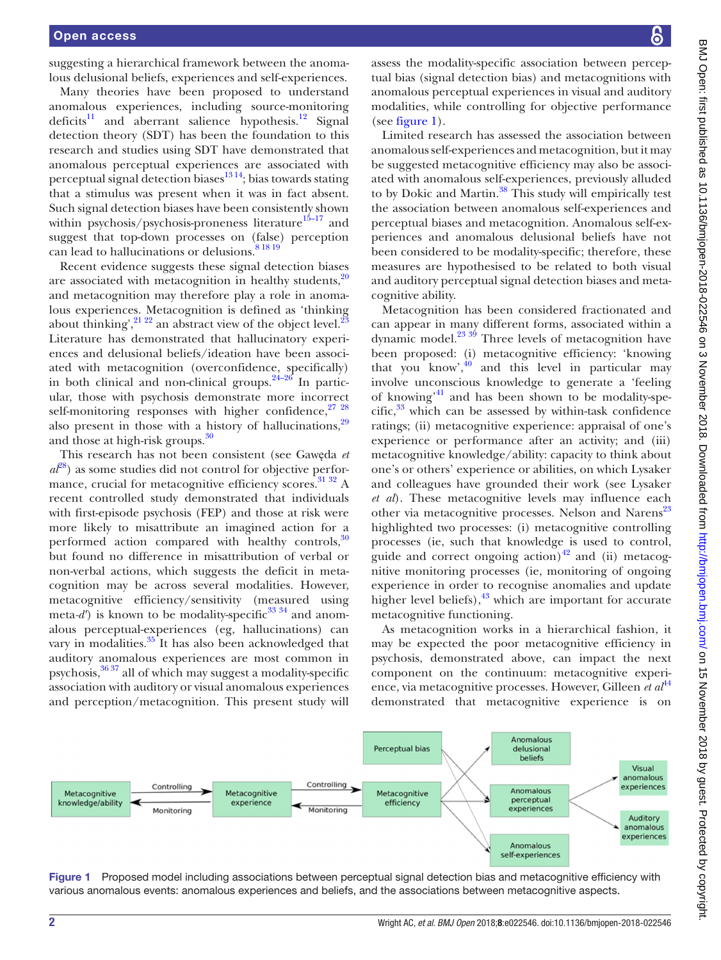suggesting a hierarchical framework between the anomalous delusional beliefs, experiences and self-experiences.

Many theories have been proposed to understand anomalous experiences, including source-monitoring deficits<sup>11</sup> and aberrant salience hypothesis.<sup>12</sup> Signal detection theory (SDT) has been the foundation to this research and studies using SDT have demonstrated that anomalous perceptual experiences are associated with perceptual signal detection biases $^{13\,14}$ ; bias towards stating that a stimulus was present when it was in fact absent. Such signal detection biases have been consistently shown within psychosis/psychosis-proneness literature<sup>15-17</sup> and suggest that top-down processes on (false) perception can lead to hallucinations or delusions.<sup>[8 18 19](#page-7-4)</sup>

Recent evidence suggests these signal detection biases are associated with metacognition in healthy students, $\frac{20}{20}$ and metacognition may therefore play a role in anomalous experiences. Metacognition is defined as 'thinking about thinking',  $^{21\,22}$  an abstract view of the object level.<sup>23</sup> Literature has demonstrated that hallucinatory experiences and delusional beliefs/ideation have been associated with metacognition (overconfidence, specifically) in both clinical and non-clinical groups. $24-26$  In particular, those with psychosis demonstrate more incorrect self-monitoring responses with higher confidence, $2728$ also present in those with a history of hallucinations, $29$ and those at high-risk groups.<sup>30</sup>

This research has not been consistent (see Gawęda *et*   $a\ell^{8}$  as some studies did not control for objective performance, crucial for metacognitive efficiency scores.<sup>31 32</sup> A recent controlled study demonstrated that individuals with first-episode psychosis (FEP) and those at risk were more likely to misattribute an imagined action for a performed action compared with healthy controls, $30$ but found no difference in misattribution of verbal or non-verbal actions, which suggests the deficit in metacognition may be across several modalities. However, metacognitive efficiency/sensitivity (measured using meta-d') is known to be modality-specific<sup>[33 34](#page-7-18)</sup> and anomalous perceptual-experiences (eg, hallucinations) can vary in modalities.<sup>35</sup> It has also been acknowledged that auditory anomalous experiences are most common in psychosis,  $3637$  all of which may suggest a modality-specific association with auditory or visual anomalous experiences and perception/metacognition. This present study will

assess the modality-specific association between perceptual bias (signal detection bias) and metacognitions with anomalous perceptual experiences in visual and auditory modalities, while controlling for objective performance (see [figure](#page-1-0) 1).

Limited research has assessed the association between anomalous self-experiences and metacognition, but it may be suggested metacognitive efficiency may also be associated with anomalous self-experiences, previously alluded to by Dokic and Martin.<sup>[38](#page-7-21)</sup> This study will empirically test the association between anomalous self-experiences and perceptual biases and metacognition. Anomalous self-experiences and anomalous delusional beliefs have not been considered to be modality-specific; therefore, these measures are hypothesised to be related to both visual and auditory perceptual signal detection biases and metacognitive ability.

Metacognition has been considered fractionated and can appear in many different forms, associated within a dynamic model. $^{23}$  3<sup>9</sup> Three levels of metacognition have been proposed: (i) metacognitive efficiency: 'knowing that you know', $40$  and this level in particular may involve unconscious knowledge to generate a 'feeling of knowing<sup> $41$ </sup> and has been shown to be modality-spe- $\text{cific},^{33}$  $\text{cific},^{33}$  $\text{cific},^{33}$  which can be assessed by within-task confidence ratings; (ii) metacognitive experience: appraisal of one's experience or performance after an activity; and (iii) metacognitive knowledge/ability: capacity to think about one's or others' experience or abilities, on which Lysaker and colleagues have grounded their work (see Lysaker *et al*). These metacognitive levels may influence each other via metacognitive processes. Nelson and Narens<sup>[23](#page-7-11)</sup> highlighted two processes: (i) metacognitive controlling processes (ie, such that knowledge is used to control, guide and correct ongoing action) $42$  and (ii) metacognitive monitoring processes (ie, monitoring of ongoing experience in order to recognise anomalies and update higher level beliefs), $^{43}$  $^{43}$  $^{43}$  which are important for accurate metacognitive functioning.

As metacognition works in a hierarchical fashion, it may be expected the poor metacognitive efficiency in psychosis, demonstrated above, can impact the next component on the continuum: metacognitive experience, via metacognitive processes. However, Gilleen *et al*[44](#page-7-26) demonstrated that metacognitive experience is on



<span id="page-1-0"></span>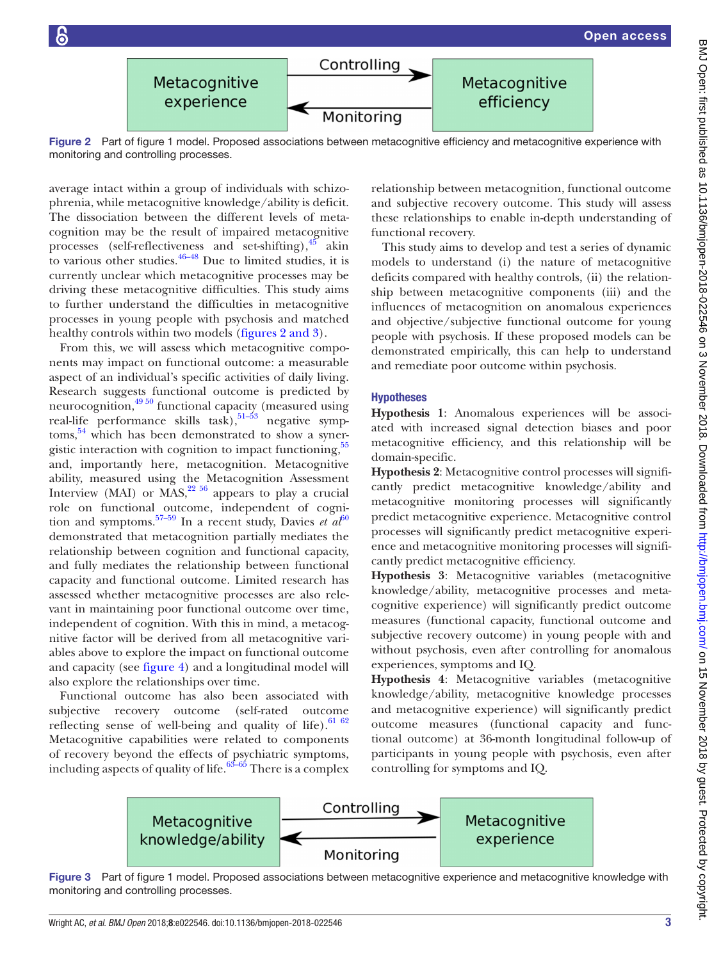<span id="page-2-0"></span>

Figure 2 Part of [figure 1](#page-1-0) model. Proposed associations between metacognitive efficiency and metacognitive experience with monitoring and controlling processes.

average intact within a group of individuals with schizophrenia, while metacognitive knowledge/ability is deficit. The dissociation between the different levels of metacognition may be the result of impaired metacognitive processes (self-reflectiveness and set-shifting), $45$  akin to various other studies.  $46-48$  Due to limited studies, it is currently unclear which metacognitive processes may be driving these metacognitive difficulties. This study aims to further understand the difficulties in metacognitive processes in young people with psychosis and matched healthy controls within two models (figures [2 and 3](#page-2-0)).

From this, we will assess which metacognitive components may impact on functional outcome: a measurable aspect of an individual's specific activities of daily living. Research suggests functional outcome is predicted by neurocognition[,49 50](#page-7-29) functional capacity (measured using real-life performance skills task),  $51-53$  negative symptoms,<sup>54</sup> which has been demonstrated to show a syner-gistic interaction with cognition to impact functioning,<sup>[55](#page-8-2)</sup> and, importantly here, metacognition. Metacognitive ability, measured using the Metacognition Assessment Interview (MAI) or MAS, $^{22.56}$  appears to play a crucial role on functional outcome, independent of cognition and symptoms.<sup>57–59</sup> In a recent study, Davies *et*  $a\ell^{60}$  $a\ell^{60}$  $a\ell^{60}$ demonstrated that metacognition partially mediates the relationship between cognition and functional capacity, and fully mediates the relationship between functional capacity and functional outcome. Limited research has assessed whether metacognitive processes are also relevant in maintaining poor functional outcome over time, independent of cognition. With this in mind, a metacognitive factor will be derived from all metacognitive variables above to explore the impact on functional outcome and capacity (see [figure](#page-3-0) 4) and a longitudinal model will also explore the relationships over time.

Functional outcome has also been associated with subjective recovery outcome (self-rated outcome reflecting sense of well-being and quality of life).  $6162$ Metacognitive capabilities were related to components of recovery beyond the effects of psychiatric symptoms, including aspects of quality of life. $63-65$  There is a complex relationship between metacognition, functional outcome and subjective recovery outcome. This study will assess these relationships to enable in-depth understanding of functional recovery.

This study aims to develop and test a series of dynamic models to understand (i) the nature of metacognitive deficits compared with healthy controls, (ii) the relationship between metacognitive components (iii) and the influences of metacognition on anomalous experiences and objective/subjective functional outcome for young people with psychosis. If these proposed models can be demonstrated empirically, this can help to understand and remediate poor outcome within psychosis.

#### Hypotheses

**Hypothesis 1**: Anomalous experiences will be associated with increased signal detection biases and poor metacognitive efficiency, and this relationship will be domain-specific.

**Hypothesis 2**: Metacognitive control processes will significantly predict metacognitive knowledge/ability and metacognitive monitoring processes will significantly predict metacognitive experience. Metacognitive control processes will significantly predict metacognitive experience and metacognitive monitoring processes will significantly predict metacognitive efficiency.

**Hypothesis 3**: Metacognitive variables (metacognitive knowledge/ability, metacognitive processes and metacognitive experience) will significantly predict outcome measures (functional capacity, functional outcome and subjective recovery outcome) in young people with and without psychosis, even after controlling for anomalous experiences, symptoms and IQ.

**Hypothesis 4**: Metacognitive variables (metacognitive knowledge/ability, metacognitive knowledge processes and metacognitive experience) will significantly predict outcome measures (functional capacity and functional outcome) at 36-month longitudinal follow-up of participants in young people with psychosis, even after controlling for symptoms and IQ.



Figure 3 Part of [figure 1](#page-1-0) model. Proposed associations between metacognitive experience and metacognitive knowledge with monitoring and controlling processes.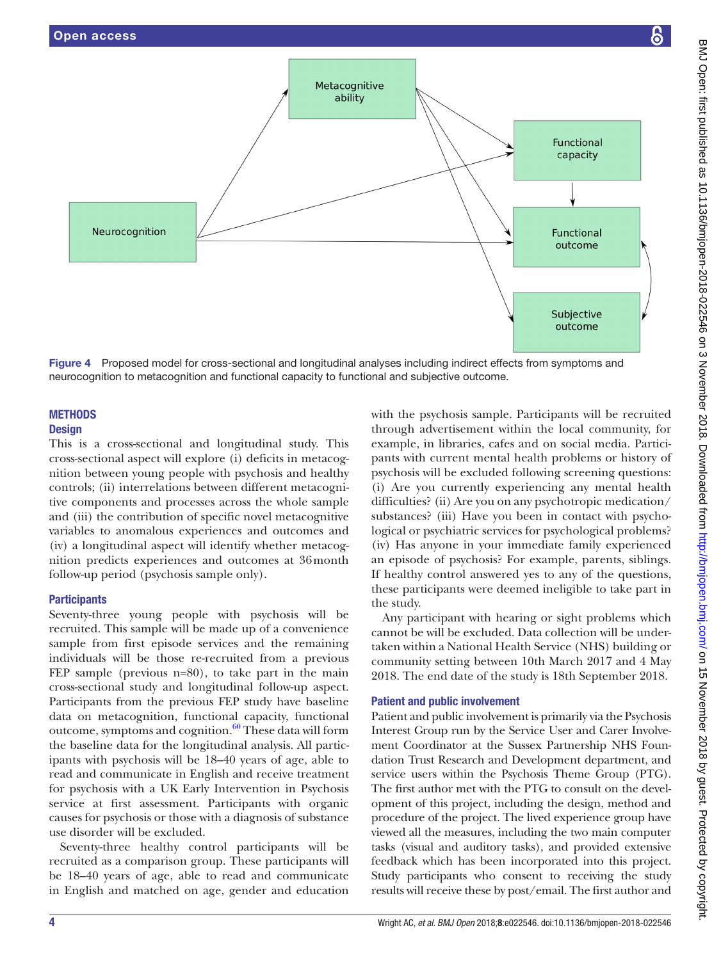

<span id="page-3-0"></span>Figure 4 Proposed model for cross-sectional and longitudinal analyses including indirect effects from symptoms and neurocognition to metacognition and functional capacity to functional and subjective outcome.

#### **METHODS Design**

This is a cross-sectional and longitudinal study. This cross-sectional aspect will explore (i) deficits in metacognition between young people with psychosis and healthy controls; (ii) interrelations between different metacognitive components and processes across the whole sample and (iii) the contribution of specific novel metacognitive variables to anomalous experiences and outcomes and (iv) a longitudinal aspect will identify whether metacognition predicts experiences and outcomes at 36month follow-up period (psychosis sample only).

# **Participants**

Seventy-three young people with psychosis will be recruited. This sample will be made up of a convenience sample from first episode services and the remaining individuals will be those re-recruited from a previous FEP sample (previous n=80), to take part in the main cross-sectional study and longitudinal follow-up aspect. Participants from the previous FEP study have baseline data on metacognition, functional capacity, functional outcome, symptoms and cognition. $60$  These data will form the baseline data for the longitudinal analysis. All participants with psychosis will be 18–40 years of age, able to read and communicate in English and receive treatment for psychosis with a UK Early Intervention in Psychosis service at first assessment. Participants with organic causes for psychosis or those with a diagnosis of substance use disorder will be excluded.

Seventy-three healthy control participants will be recruited as a comparison group. These participants will be 18–40 years of age, able to read and communicate in English and matched on age, gender and education

with the psychosis sample. Participants will be recruited through advertisement within the local community, for example, in libraries, cafes and on social media. Participants with current mental health problems or history of psychosis will be excluded following screening questions: (i) Are you currently experiencing any mental health difficulties? (ii) Are you on any psychotropic medication/ substances? (iii) Have you been in contact with psychological or psychiatric services for psychological problems? (iv) Has anyone in your immediate family experienced an episode of psychosis? For example, parents, siblings. If healthy control answered yes to any of the questions, these participants were deemed ineligible to take part in the study.

Any participant with hearing or sight problems which cannot be will be excluded. Data collection will be undertaken within a National Health Service (NHS) building or community setting between 10th March 2017 and 4 May 2018. The end date of the study is 18th September 2018.

# Patient and public involvement

Patient and public involvement is primarily via the Psychosis Interest Group run by the Service User and Carer Involvement Coordinator at the Sussex Partnership NHS Foundation Trust Research and Development department, and service users within the Psychosis Theme Group (PTG). The first author met with the PTG to consult on the development of this project, including the design, method and procedure of the project. The lived experience group have viewed all the measures, including the two main computer tasks (visual and auditory tasks), and provided extensive feedback which has been incorporated into this project. Study participants who consent to receiving the study results will receive these by post/email. The first author and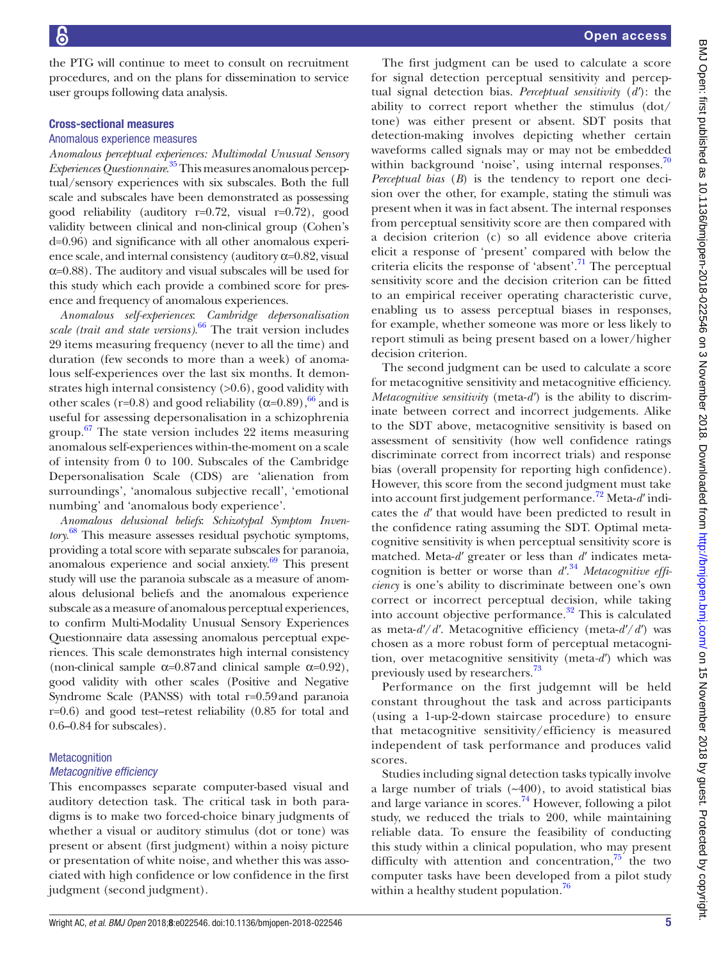the PTG will continue to meet to consult on recruitment procedures, and on the plans for dissemination to service user groups following data analysis.

#### Cross-sectional measures

#### Anomalous experience measures

*Anomalous perceptual experiences: Multimodal Unusual Sensory Experiences Questionnaire*. [35](#page-7-19) This measures anomalous perceptual/sensory experiences with six subscales. Both the full scale and subscales have been demonstrated as possessing good reliability (auditory r=0.72, visual r=0.72), good validity between clinical and non-clinical group (Cohen's d=0.96) and significance with all other anomalous experience scale, and internal consistency (auditory  $\alpha$ =0.82, visual  $\alpha$ =0.88). The auditory and visual subscales will be used for this study which each provide a combined score for presence and frequency of anomalous experiences.

*Anomalous self-experiences*: *Cambridge depersonalisation scale (trait and state versions)*. [66](#page-8-7) The trait version includes 29 items measuring frequency (never to all the time) and duration (few seconds to more than a week) of anomalous self-experiences over the last six months. It demonstrates high internal consistency (>0.6), good validity with other scales (r=0.8) and good reliability ( $\alpha$ =0.89),<sup>66</sup> and is useful for assessing depersonalisation in a schizophrenia group.<sup>[67](#page-8-8)</sup> The state version includes 22 items measuring anomalous self-experiences within-the-moment on a scale of intensity from 0 to 100. Subscales of the Cambridge Depersonalisation Scale (CDS) are 'alienation from surroundings', 'anomalous subjective recall', 'emotional numbing' and 'anomalous body experience'.

*Anomalous delusional beliefs*: *Schizotypal Symptom Inventory*. [68](#page-8-9) This measure assesses residual psychotic symptoms, providing a total score with separate subscales for paranoia, anomalous experience and social anxiety.[69](#page-8-10) This present study will use the paranoia subscale as a measure of anomalous delusional beliefs and the anomalous experience subscale as a measure of anomalous perceptual experiences, to confirm Multi-Modality Unusual Sensory Experiences Questionnaire data assessing anomalous perceptual experiences. This scale demonstrates high internal consistency (non-clinical sample  $\alpha$ =0.87 and clinical sample  $\alpha$ =0.92), good validity with other scales (Positive and Negative Syndrome Scale (PANSS) with total r=0.59and paranoia r=0.6) and good test–retest reliability (0.85 for total and 0.6–0.84 for subscales).

## **Metacognition** *Metacognitive efficiency*

This encompasses separate computer-based visual and auditory detection task. The critical task in both paradigms is to make two forced-choice binary judgments of whether a visual or auditory stimulus (dot or tone) was present or absent (first judgment) within a noisy picture or presentation of white noise, and whether this was associated with high confidence or low confidence in the first judgment (second judgment).

The first judgment can be used to calculate a score for signal detection perceptual sensitivity and perceptual signal detection bias. *Perceptual sensitivity* (*d′*): the ability to correct report whether the stimulus (dot/ tone) was either present or absent. SDT posits that detection-making involves depicting whether certain waveforms called signals may or may not be embedded within background 'noise', using internal responses. $70$ *Perceptual bias* (*B*) is the tendency to report one decision over the other, for example, stating the stimuli was present when it was in fact absent. The internal responses from perceptual sensitivity score are then compared with a decision criterion (c) so all evidence above criteria elicit a response of 'present' compared with below the criteria elicits the response of 'absent'.<sup>[71](#page-8-12)</sup> The perceptual sensitivity score and the decision criterion can be fitted to an empirical receiver operating characteristic curve, enabling us to assess perceptual biases in responses, for example, whether someone was more or less likely to report stimuli as being present based on a lower/higher decision criterion.

The second judgment can be used to calculate a score for metacognitive sensitivity and metacognitive efficiency. *Metacognitive sensitivity* (meta-*d′*) is the ability to discriminate between correct and incorrect judgements. Alike to the SDT above, metacognitive sensitivity is based on assessment of sensitivity (how well confidence ratings discriminate correct from incorrect trials) and response bias (overall propensity for reporting high confidence). However, this score from the second judgment must take into account first judgement performance.[72](#page-8-13) Meta-*d′* indicates the *d′* that would have been predicted to result in the confidence rating assuming the SDT. Optimal metacognitive sensitivity is when perceptual sensitivity score is matched. Meta-*d′* greater or less than *d′* indicates metacognition is better or worse than *d′*. [34](#page-7-31) *Metacognitive efficiency* is one's ability to discriminate between one's own correct or incorrect perceptual decision, while taking into account objective performance.<sup>32</sup> This is calculated as meta-*d′*/*d′*. Metacognitive efficiency (meta-*d′*/*d′*) was chosen as a more robust form of perceptual metacognition, over metacognitive sensitivity (meta*-d′*) which was previously used by researchers.<sup>[73](#page-8-14)</sup>

Performance on the first judgemnt will be held constant throughout the task and across participants (using a 1-up-2-down staircase procedure) to ensure that metacognitive sensitivity/efficiency is measured independent of task performance and produces valid scores.

Studies including signal detection tasks typically involve a large number of trials (~400), to avoid statistical bias and large variance in scores.<sup>74</sup> However, following a pilot study, we reduced the trials to 200, while maintaining reliable data. To ensure the feasibility of conducting this study within a clinical population, who may present difficulty with attention and concentration, $^{75}$  the two computer tasks have been developed from a pilot study within a healthy student population.<sup>[76](#page-8-17)</sup>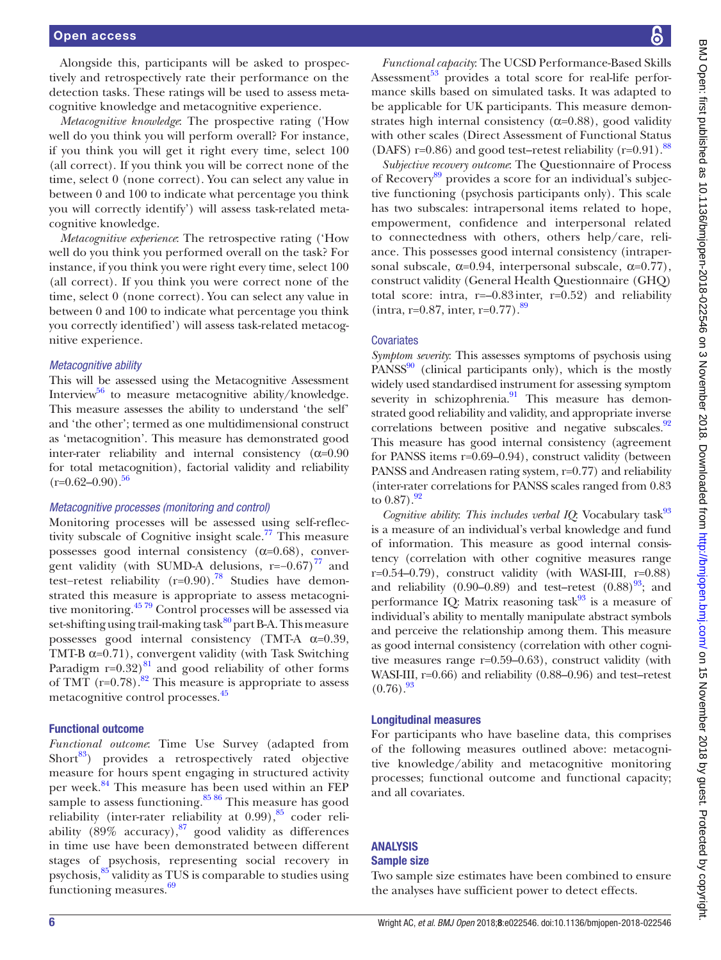#### Open access

Alongside this, participants will be asked to prospectively and retrospectively rate their performance on the detection tasks. These ratings will be used to assess metacognitive knowledge and metacognitive experience.

*Metacognitive knowledge*: The prospective rating ('How well do you think you will perform overall? For instance, if you think you will get it right every time, select 100 (all correct). If you think you will be correct none of the time, select 0 (none correct). You can select any value in between 0 and 100 to indicate what percentage you think you will correctly identify') will assess task-related metacognitive knowledge.

*Metacognitive experience*: The retrospective rating ('How well do you think you performed overall on the task? For instance, if you think you were right every time, select 100 (all correct). If you think you were correct none of the time, select 0 (none correct). You can select any value in between 0 and 100 to indicate what percentage you think you correctly identified') will assess task-related metacognitive experience.

#### *Metacognitive ability*

This will be assessed using the Metacognitive Assessment Interview<sup>[56](#page-8-18)</sup> to measure metacognitive ability/knowledge. This measure assesses the ability to understand 'the self' and 'the other'; termed as one multidimensional construct as 'metacognition'. This measure has demonstrated good inter-rater reliability and internal consistency  $(\alpha=0.90)$ for total metacognition), factorial validity and reliability  $(r=0.62-0.90).$ <sup>56</sup>

#### *Metacognitive processes (monitoring and control)*

Monitoring processes will be assessed using self-reflectivity subscale of Cognitive insight scale.<sup>77</sup> This measure possesses good internal consistency  $(\alpha=0.68)$ , convergent validity (with SUMD-A delusions,  $r=-0.67$ )<sup>77</sup> and test−retest reliability (r=0.90)[.78](#page-8-20) Studies have demonstrated this measure is appropriate to assess metacognitive monitoring.[45 79](#page-7-27) Control processes will be assessed via set-shifting using trail-making task $80^{\circ}$  part B-A. This measure possesses good internal consistency (TMT-A  $\alpha$ =0.39, TMT-B  $\alpha$ =0.71), convergent validity (with Task Switching Paradigm  $r=0.32$ )<sup>[81](#page-8-22)</sup> and good reliability of other forms of TMT ( $r=0.78$ ).<sup>[82](#page-8-23)</sup> This measure is appropriate to assess metacognitive control processes.[45](#page-7-27)

#### Functional outcome

*Functional outcome*: Time Use Survey (adapted from Short $^{83}$ ) provides a retrospectively rated objective measure for hours spent engaging in structured activity per week.<sup>[84](#page-8-25)</sup> This measure has been used within an FEP sample to assess functioning. $85\frac{86}{10}$  This measure has good reliability (inter-rater reliability at  $0.99$ ),  $85$  coder reliability (89% accuracy),  $87$  good validity as differences in time use have been demonstrated between different stages of psychosis, representing social recovery in psychosis,<sup>[85](#page-8-26)</sup> validity as TUS is comparable to studies using functioning measures.<sup>[69](#page-8-10)</sup>

BMJ Open: first published as 10.1136/bmijopen-2018-022546 on 3 November 2018. Downloaded from http://bmjopen.bmj.com/ on 15 November 2018 by guest. Protected by copyright BMJ Open: first published as 10.1136/bmjopen-2018-022546 on 3 November 2018. Downloaded from <http://bmjopen.bmj.com/> GMJ On 15 November 2018 by guest. Protected by copyright.

*Functional capacity*: The UCSD Performance-Based Skills Assessment<sup>53</sup> provides a total score for real-life performance skills based on simulated tasks. It was adapted to be applicable for UK participants. This measure demonstrates high internal consistency  $(\alpha=0.88)$ , good validity with other scales (Direct Assessment of Functional Status (DAFS) r=0.86) and good test–retest reliability (r=0.91).<sup>[88](#page-8-29)</sup>

*Subjective recovery outcome*: The Questionnaire of Process of Recovery<sup>[89](#page-8-30)</sup> provides a score for an individual's subjective functioning (psychosis participants only). This scale has two subscales: intrapersonal items related to hope, empowerment, confidence and interpersonal related to connectedness with others, others help/care, reliance. This possesses good internal consistency (intrapersonal subscale,  $\alpha=0.94$ , interpersonal subscale,  $\alpha=0.77$ ), construct validity (General Health Questionnaire (GHQ) total score: intra, r=–0.83inter, r=0.52) and reliability  $(intra, r=0.87, inter, r=0.77).$ <sup>[89](#page-8-30)</sup>

#### **Covariates**

*Symptom severity*: This assesses symptoms of psychosis using  $PANSS<sup>90</sup>$  (clinical participants only), which is the mostly widely used standardised instrument for assessing symptom severity in schizophrenia.<sup>91</sup> This measure has demonstrated good reliability and validity, and appropriate inverse correlations between positive and negative subscales.<sup>92</sup> This measure has good internal consistency (agreement for PANSS items r=0.69–0.94), construct validity (between PANSS and Andreasen rating system, r=0.77) and reliability (inter-rater correlations for PANSS scales ranged from 0.83 to  $0.87$ ).  $92$ 

*Cognitive ability: This includes verbal IQ:* Vocabulary task<sup>93</sup> is a measure of an individual's verbal knowledge and fund of information. This measure as good internal consistency (correlation with other cognitive measures range  $r=0.54-0.79$ , construct validity (with WASI-III,  $r=0.88$ ) and reliability  $(0.90-0.89)$  and test–retest  $(0.88)^{93}$  $(0.88)^{93}$  $(0.88)^{93}$ ; and performance IQ: Matrix reasoning task $93$  is a measure of individual's ability to mentally manipulate abstract symbols and perceive the relationship among them. This measure as good internal consistency (correlation with other cognitive measures range r=0.59–0.63), construct validity (with WASI-III, r=0.66) and reliability (0.88–0.96) and test–retest  $(0.76).^{93}$ 

#### Longitudinal measures

For participants who have baseline data, this comprises of the following measures outlined above: metacognitive knowledge/ability and metacognitive monitoring processes; functional outcome and functional capacity; and all covariates.

# Analysis

# Sample size

Two sample size estimates have been combined to ensure the analyses have sufficient power to detect effects.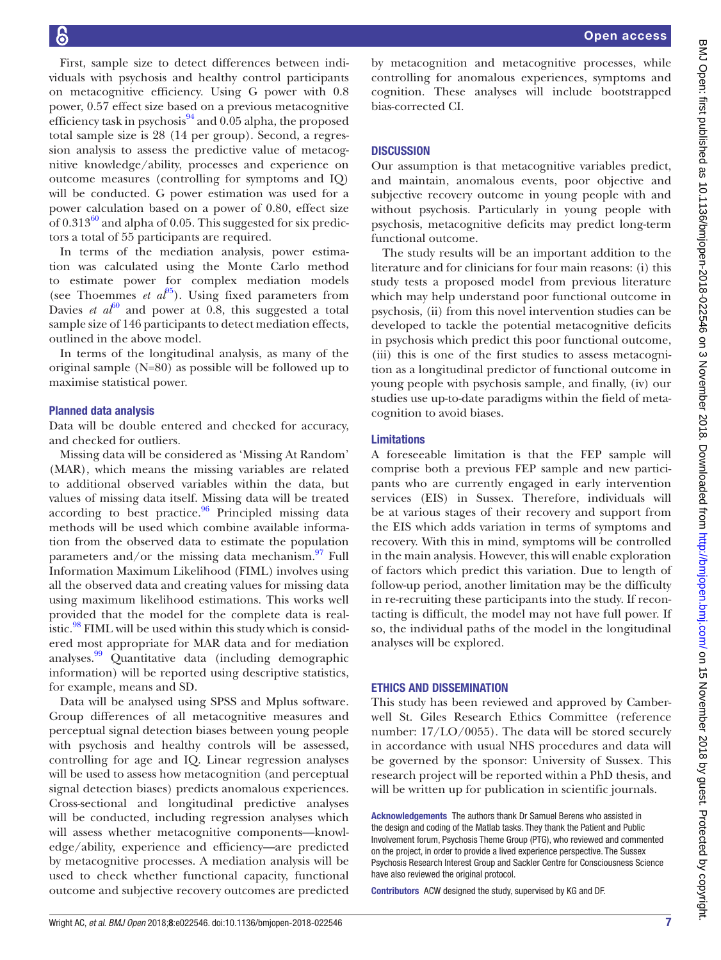First, sample size to detect differences between individuals with psychosis and healthy control participants on metacognitive efficiency. Using G power with 0.8 power, 0.57 effect size based on a previous metacognitive efficiency task in psychosis $94$  and 0.05 alpha, the proposed total sample size is 28 (14 per group). Second, a regression analysis to assess the predictive value of metacognitive knowledge/ability, processes and experience on outcome measures (controlling for symptoms and IQ) will be conducted. G power estimation was used for a power calculation based on a power of 0.80, effect size of  $0.313^{60}$  and alpha of 0.05. This suggested for six predictors a total of 55 participants are required.

In terms of the mediation analysis, power estimation was calculated using the Monte Carlo method to estimate power for complex mediation models (see Thoemmes *et*  $a\ell^{95}$  $a\ell^{95}$  $a\ell^{95}$ *)*. Using fixed parameters from Davies *et*  $a f^{60}$  and power at 0.8, this suggested a total sample size of 146 participants to detect mediation effects, outlined in the above model.

In terms of the longitudinal analysis, as many of the original sample (N=80) as possible will be followed up to maximise statistical power.

#### Planned data analysis

Data will be double entered and checked for accuracy, and checked for outliers.

Missing data will be considered as 'Missing At Random' (MAR), which means the missing variables are related to additional observed variables within the data, but values of missing data itself. Missing data will be treated according to best practice. $96$  Principled missing data methods will be used which combine available information from the observed data to estimate the population parameters and/or the missing data mechanism. $97$  Full Information Maximum Likelihood (FIML) involves using all the observed data and creating values for missing data using maximum likelihood estimations. This works well provided that the model for the complete data is realistic. $98$  FIML will be used within this study which is considered most appropriate for MAR data and for mediation analyses. $99$  Quantitative data (including demographic information) will be reported using descriptive statistics, for example, means and SD.

Data will be analysed using SPSS and Mplus software. Group differences of all metacognitive measures and perceptual signal detection biases between young people with psychosis and healthy controls will be assessed, controlling for age and IQ. Linear regression analyses will be used to assess how metacognition (and perceptual signal detection biases) predicts anomalous experiences. Cross-sectional and longitudinal predictive analyses will be conducted, including regression analyses which will assess whether metacognitive components—knowledge/ability, experience and efficiency—are predicted by metacognitive processes. A mediation analysis will be used to check whether functional capacity, functional outcome and subjective recovery outcomes are predicted

by metacognition and metacognitive processes, while controlling for anomalous experiences, symptoms and cognition. These analyses will include bootstrapped bias-corrected CI.

#### **DISCUSSION**

Our assumption is that metacognitive variables predict, and maintain, anomalous events, poor objective and subjective recovery outcome in young people with and without psychosis. Particularly in young people with psychosis, metacognitive deficits may predict long-term functional outcome.

The study results will be an important addition to the literature and for clinicians for four main reasons: (i) this study tests a proposed model from previous literature which may help understand poor functional outcome in psychosis, (ii) from this novel intervention studies can be developed to tackle the potential metacognitive deficits in psychosis which predict this poor functional outcome, (iii) this is one of the first studies to assess metacognition as a longitudinal predictor of functional outcome in young people with psychosis sample, and finally, (iv) our studies use up-to-date paradigms within the field of metacognition to avoid biases.

#### Limitations

A foreseeable limitation is that the FEP sample will comprise both a previous FEP sample and new participants who are currently engaged in early intervention services (EIS) in Sussex. Therefore, individuals will be at various stages of their recovery and support from the EIS which adds variation in terms of symptoms and recovery. With this in mind, symptoms will be controlled in the main analysis. However, this will enable exploration of factors which predict this variation. Due to length of follow-up period, another limitation may be the difficulty in re-recruiting these participants into the study. If recontacting is difficult, the model may not have full power. If so, the individual paths of the model in the longitudinal analyses will be explored.

#### Ethics and dissemination

This study has been reviewed and approved by Camberwell St. Giles Research Ethics Committee (reference number: 17/LO/0055). The data will be stored securely in accordance with usual NHS procedures and data will be governed by the sponsor: University of Sussex. This research project will be reported within a PhD thesis, and will be written up for publication in scientific journals.

Acknowledgements The authors thank Dr Samuel Berens who assisted in the design and coding of the Matlab tasks. They thank the Patient and Public Involvement forum, Psychosis Theme Group (PTG), who reviewed and commented on the project, in order to provide a lived experience perspective. The Sussex Psychosis Research Interest Group and Sackler Centre for Consciousness Science have also reviewed the original protocol.

Contributors ACW designed the study, supervised by KG and DF.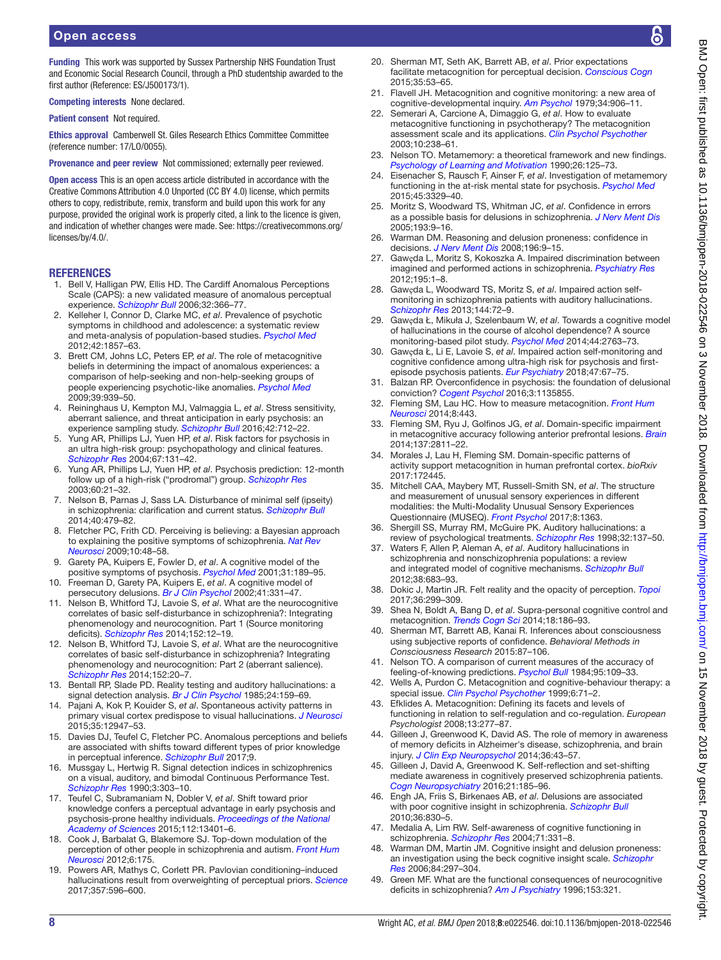Funding This work was supported by Sussex Partnership NHS Foundation Trust and Economic Social Research Council, through a PhD studentship awarded to the first author (Reference: ES/J500173/1).

Competing interests None declared.

Patient consent Not required.

Ethics approval Camberwell St. Giles Research Ethics Committee Committee (reference number: 17/LO/0055).

Provenance and peer review Not commissioned; externally peer reviewed.

Open access This is an open access article distributed in accordance with the Creative Commons Attribution 4.0 Unported (CC BY 4.0) license, which permits others to copy, redistribute, remix, transform and build upon this work for any purpose, provided the original work is properly cited, a link to the licence is given. and indication of whether changes were made. See: [https://creativecommons.org/](https://creativecommons.org/licenses/by/4.0/) [licenses/by/4.0/.](https://creativecommons.org/licenses/by/4.0/)

#### **REFERENCES**

- <span id="page-7-0"></span>1. Bell V, Halligan PW, Ellis HD. The Cardiff Anomalous Perceptions Scale (CAPS): a new validated measure of anomalous perceptual experience. *[Schizophr Bull](http://dx.doi.org/10.1093/schbul/sbj014)* 2006;32:366–77.
- 2. Kelleher I, Connor D, Clarke MC, *et al*. Prevalence of psychotic symptoms in childhood and adolescence: a systematic review and meta-analysis of population-based studies. *[Psychol Med](http://dx.doi.org/10.1017/S0033291711002960)* 2012;42:1857–63.
- <span id="page-7-1"></span>3. Brett CM, Johns LC, Peters EP, *et al*. The role of metacognitive beliefs in determining the impact of anomalous experiences: a comparison of help-seeking and non-help-seeking groups of people experiencing psychotic-like anomalies. *[Psychol Med](http://dx.doi.org/10.1017/S0033291708004650)* 2009;39:939–50.
- 4. Reininghaus U, Kempton MJ, Valmaggia L, *et al*. Stress sensitivity, aberrant salience, and threat anticipation in early psychosis: an experience sampling study. *[Schizophr Bull](http://dx.doi.org/10.1093/schbul/sbv190)* 2016;42:712–22.
- <span id="page-7-2"></span>5. Yung AR, Phillips LJ, Yuen HP, *et al*. Risk factors for psychosis in an ultra high-risk group: psychopathology and clinical features. *[Schizophr Res](http://dx.doi.org/10.1016/S0920-9964(03)00192-0)* 2004;67:131–42.
- 6. Yung AR, Phillips LJ, Yuen HP, *et al*. Psychosis prediction: 12-month follow up of a high-risk ("prodromal") group. *[Schizophr Res](http://dx.doi.org/10.1016/S0920-9964(02)00167-6)* 2003;60:21–32.
- <span id="page-7-3"></span>7. Nelson B, Parnas J, Sass LA. Disturbance of minimal self (ipseity) in schizophrenia: clarification and current status. *[Schizophr Bull](http://dx.doi.org/10.1093/schbul/sbu034)* 2014;40:479–82.
- <span id="page-7-4"></span>8. Fletcher PC, Frith CD. Perceiving is believing: a Bayesian approach to explaining the positive symptoms of schizophrenia. *[Nat Rev](http://dx.doi.org/10.1038/nrn2536)  [Neurosci](http://dx.doi.org/10.1038/nrn2536)* 2009;10:48–58.
- 9. Garety PA, Kuipers E, Fowler D, *et al*. A cognitive model of the positive symptoms of psychosis. *[Psychol Med](http://dx.doi.org/10.1017/S0033291701003312)* 2001;31:189–95.
- 10. Freeman D, Garety PA, Kuipers E, *et al*. A cognitive model of persecutory delusions. *[Br J Clin Psychol](http://dx.doi.org/10.1348/014466502760387461)* 2002;41:331–47.
- <span id="page-7-5"></span>11. Nelson B, Whitford TJ, Lavoie S, *et al*. What are the neurocognitive correlates of basic self-disturbance in schizophrenia?: Integrating phenomenology and neurocognition. Part 1 (Source monitoring deficits). *[Schizophr Res](http://dx.doi.org/10.1016/j.schres.2013.06.022)* 2014;152:12–19.
- <span id="page-7-6"></span>12. Nelson B, Whitford TJ, Lavoie S, *et al*. What are the neurocognitive correlates of basic self-disturbance in schizophrenia? Integrating phenomenology and neurocognition: Part 2 (aberrant salience). *[Schizophr Res](http://dx.doi.org/10.1016/j.schres.2013.06.033)* 2014;152:20–7.
- <span id="page-7-7"></span>13. Bentall RP, Slade PD. Reality testing and auditory hallucinations: a signal detection analysis. *[Br J Clin Psychol](http://dx.doi.org/10.1111/j.2044-8260.1985.tb01331.x)* 1985;24:159–69.
- 14. Pajani A, Kok P, Kouider S, *et al*. Spontaneous activity patterns in primary visual cortex predispose to visual hallucinations. *[J Neurosci](http://dx.doi.org/10.1523/JNEUROSCI.1520-15.2015)* 2015;35:12947–53.
- <span id="page-7-8"></span>15. Davies DJ, Teufel C, Fletcher PC. Anomalous perceptions and beliefs are associated with shifts toward different types of prior knowledge in perceptual inference. *[Schizophr Bull](http://dx.doi.org/10.1093/schbul/sbx177)* 2017;9.
- 16. Mussgay L, Hertwig R. Signal detection indices in schizophrenics on a visual, auditory, and bimodal Continuous Performance Test. *[Schizophr Res](http://dx.doi.org/10.1016/0920-9964(90)90014-X)* 1990;3:303–10.
- 17. Teufel C, Subramaniam N, Dobler V, *et al*. Shift toward prior knowledge confers a perceptual advantage in early psychosis and psychosis-prone healthy individuals. *[Proceedings of the National](http://dx.doi.org/10.1073/pnas.1503916112)  [Academy of Sciences](http://dx.doi.org/10.1073/pnas.1503916112)* 2015;112:13401–6.
- 18. Cook J, Barbalat G, Blakemore SJ. Top-down modulation of the perception of other people in schizophrenia and autism. *[Front Hum](http://dx.doi.org/10.3389/fnhum.2012.00175)  [Neurosci](http://dx.doi.org/10.3389/fnhum.2012.00175)* 2012;6:175.
- 19. Powers AR, Mathys C, Corlett PR. Pavlovian conditioning–induced hallucinations result from overweighting of perceptual priors. *[Science](http://dx.doi.org/10.1126/science.aan3458)* 2017;357:596–600.
- <span id="page-7-9"></span>20. Sherman MT, Seth AK, Barrett AB, *et al*. Prior expectations facilitate metacognition for perceptual decision. *[Conscious Cogn](http://dx.doi.org/10.1016/j.concog.2015.04.015)* 2015;35:53–65.
- <span id="page-7-10"></span>21. Flavell JH. Metacognition and cognitive monitoring: a new area of cognitive-developmental inquiry. *[Am Psychol](http://dx.doi.org/10.1037/0003-066X.34.10.906)* 1979;34:906–11.
- <span id="page-7-30"></span>22. Semerari A, Carcione A, Dimaggio G, *et al*. How to evaluate metacognitive functioning in psychotherapy? The metacognition assessment scale and its applications. *[Clin Psychol Psychother](http://dx.doi.org/10.1002/cpp.362)* 2003;10:238–61.
- <span id="page-7-11"></span>23. Nelson TO. Metamemory: a theoretical framework and new findings. *[Psychology of Learning and Motivation](http://dx.doi.org/10.1016/S0079-7421(08)60053-5)* 1990;26:125–73.
- <span id="page-7-12"></span>24. Eisenacher S, Rausch F, Ainser F, *et al*. Investigation of metamemory functioning in the at-risk mental state for psychosis. *[Psychol Med](http://dx.doi.org/10.1017/S0033291715001373)* 2015;45:3329–40.
- 25. Moritz S, Woodward TS, Whitman JC, *et al*. Confidence in errors as a possible basis for delusions in schizophrenia. *[J Nerv Ment Dis](http://dx.doi.org/10.1097/01.nmd.0000149213.10692.00)* 2005;193:9–16.
- 26. Warman DM. Reasoning and delusion proneness: confidence in decisions. *[J Nerv Ment Dis](http://dx.doi.org/10.1097/NMD.0b013e3181601141)* 2008;196:9–15.
- <span id="page-7-13"></span>27. Gawęda L, Moritz S, Kokoszka A. Impaired discrimination between imagined and performed actions in schizophrenia. *[Psychiatry Res](http://dx.doi.org/10.1016/j.psychres.2011.07.035)* 2012;195:1–8.
- <span id="page-7-16"></span>28. Gawęda L, Woodward TS, Moritz S, *et al*. Impaired action selfmonitoring in schizophrenia patients with auditory hallucinations. *[Schizophr Res](http://dx.doi.org/10.1016/j.schres.2012.12.003)* 2013;144:72–9.
- <span id="page-7-14"></span>29. Gawęda Ł, Mikuła J, Szelenbaum W, *et al*. Towards a cognitive model of hallucinations in the course of alcohol dependence? A source monitoring-based pilot study. *[Psychol Med](http://dx.doi.org/10.1017/S0033291714000476)* 2014;44:2763–73.
- <span id="page-7-15"></span>30. Gawęda Ł, Li E, Lavoie S, *et al*. Impaired action self-monitoring and cognitive confidence among ultra-high risk for psychosis and firstepisode psychosis patients. *[Eur Psychiatry](http://dx.doi.org/10.1016/j.eurpsy.2017.09.003)* 2018;47:67–75.
- <span id="page-7-17"></span>31. Balzan RP. Overconfidence in psychosis: the foundation of delusional conviction? *[Cogent Psychol](http://dx.doi.org/10.1080/23311908.2015.1135855)* 2016;3:1135855.
- <span id="page-7-32"></span>32. Fleming SM, Lau HC. How to measure metacognition. *[Front Hum](http://dx.doi.org/10.3389/fnhum.2014.00443)  [Neurosci](http://dx.doi.org/10.3389/fnhum.2014.00443)* 2014;8:443.
- <span id="page-7-18"></span>33. Fleming SM, Ryu J, Golfinos JG, *et al*. Domain-specific impairment in metacognitive accuracy following anterior prefrontal lesions. *[Brain](http://dx.doi.org/10.1093/brain/awu221)* 2014;137:2811–22.
- <span id="page-7-31"></span>34. Morales J, Lau H, Fleming SM. Domain-specific patterns of activity support metacognition in human prefrontal cortex. *bioRxiv* 2017:172445.
- <span id="page-7-19"></span>35. Mitchell CAA, Maybery MT, Russell-Smith SN, *et al*. The structure and measurement of unusual sensory experiences in different modalities: the Multi-Modality Unusual Sensory Experiences Questionnaire (MUSEQ). *[Front Psychol](http://dx.doi.org/10.3389/fpsyg.2017.01363)* 2017;8:1363.
- <span id="page-7-20"></span>36. Shergill SS, Murray RM, McGuire PK. Auditory hallucinations: a review of psychological treatments. *[Schizophr Res](http://dx.doi.org/10.1016/S0920-9964(98)00052-8)* 1998;32:137–50.
- 37. Waters F, Allen P, Aleman A, *et al*. Auditory hallucinations in schizophrenia and nonschizophrenia populations: a review and integrated model of cognitive mechanisms. *[Schizophr Bull](http://dx.doi.org/10.1093/schbul/sbs045)* 2012;38:683–93.
- <span id="page-7-21"></span>38. Dokic J, Martin JR. Felt reality and the opacity of perception. *[Topoi](http://dx.doi.org/10.1007/s11245-015-9327-2)* 2017;36:299–309.
- 39. Shea N, Boldt A, Bang D, *et al*. Supra-personal cognitive control and metacognition. *[Trends Cogn Sci](http://dx.doi.org/10.1016/j.tics.2014.01.006)* 2014;18:186–93.
- <span id="page-7-22"></span>40. Sherman MT, Barrett AB, Kanai R. Inferences about consciousness using subjective reports of confidence. *Behavioral Methods in Consciousness Research* 2015:87–106.
- <span id="page-7-23"></span>41. Nelson TO. A comparison of current measures of the accuracy of feeling-of-knowing predictions. *[Psychol Bull](http://dx.doi.org/10.1037/0033-2909.95.1.109)* 1984;95:109–33.
- <span id="page-7-24"></span>42. Wells A, Purdon C. Metacognition and cognitive-behaviour therapy: a special issue. *[Clin Psychol Psychother](http://dx.doi.org/10.1002/(SICI)1099-0879(199905)6:2<71::AID-CPP186>3.0.CO;2-G)* 1999;6:71–2.
- <span id="page-7-25"></span>43. Efklides A. Metacognition: Defining its facets and levels of functioning in relation to self-regulation and co-regulation. *European Psychologist* 2008;13:277–87.
- <span id="page-7-26"></span>44. Gilleen J, Greenwood K, David AS. The role of memory in awareness of memory deficits in Alzheimer's disease, schizophrenia, and brain injury. *[J Clin Exp Neuropsychol](http://dx.doi.org/10.1080/13803395.2013.863835)* 2014;36:43–57.
- <span id="page-7-27"></span>45. Gilleen J, David A, Greenwood K. Self-reflection and set-shifting mediate awareness in cognitively preserved schizophrenia patients. *[Cogn Neuropsychiatry](http://dx.doi.org/10.1080/13546805.2016.1167031)* 2016;21:185–96.
- <span id="page-7-28"></span>46. Engh JA, Friis S, Birkenaes AB, *et al*. Delusions are associated with poor cognitive insight in schizophrenia. *[Schizophr Bull](http://dx.doi.org/10.1093/schbul/sbn193)* 2010;36:830–5.
- 47. Medalia A, Lim RW. Self-awareness of cognitive functioning in schizophrenia. *[Schizophr Res](http://dx.doi.org/10.1016/j.schres.2004.03.003)* 2004;71:331–8.
- 48. Warman DM, Martin JM. Cognitive insight and delusion proneness: an investigation using the beck cognitive insight scale. *[Schizophr](http://dx.doi.org/10.1016/j.schres.2006.02.004)  [Res](http://dx.doi.org/10.1016/j.schres.2006.02.004)* 2006;84:297–304.
- <span id="page-7-29"></span>49. Green MF. What are the functional consequences of neurocognitive deficits in schizophrenia? *[Am J Psychiatry](http://dx.doi.org/10.1176/ajp.153.3.321)* 1996;153:321.